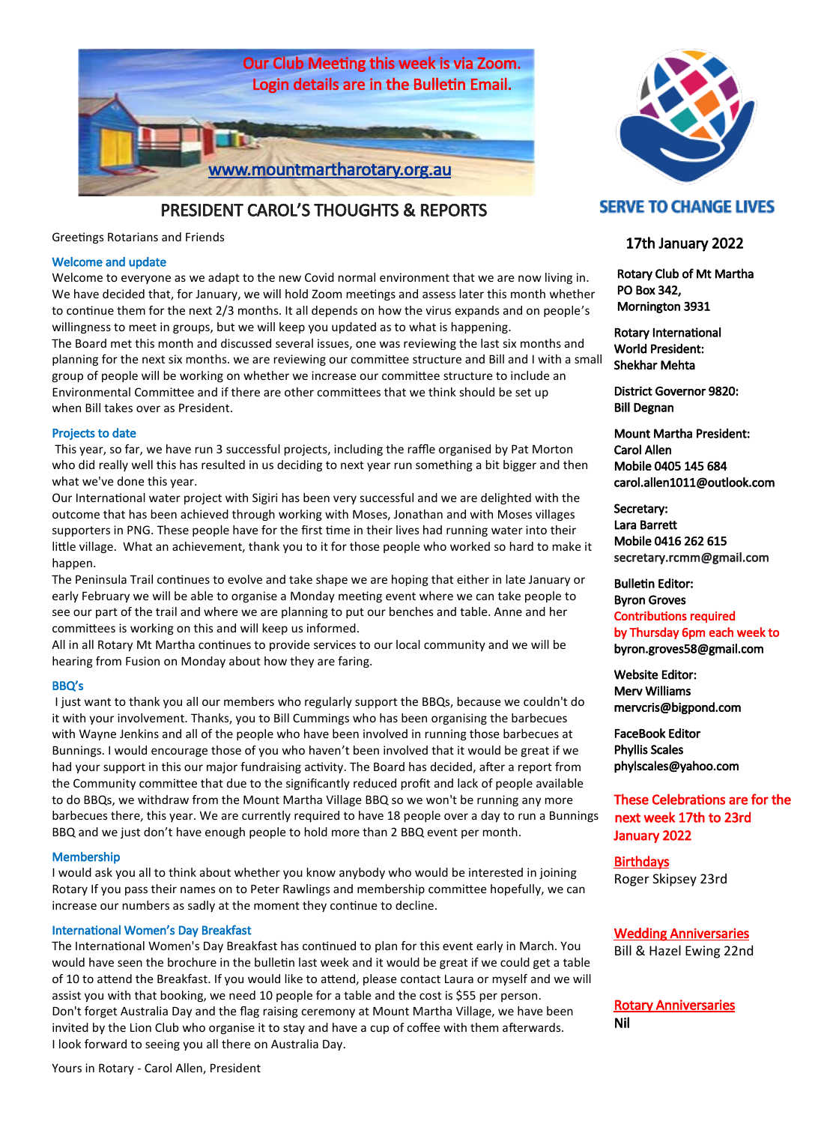

PRESIDENT CAROL'S THOUGHTS & REPORTS

Greetings Rotarians and Friends

## Welcome and update

Welcome to everyone as we adapt to the new Covid normal environment that we are now living in. We have decided that, for January, we will hold Zoom meetings and assess later this month whether to continue them for the next 2/3 months. It all depends on how the virus expands and on people's willingness to meet in groups, but we will keep you updated as to what is happening. The Board met this month and discussed several issues, one was reviewing the last six months and planning for the next six months. we are reviewing our committee structure and Bill and I with a small group of people will be working on whether we increase our committee structure to include an Environmental Committee and if there are other committees that we think should be set up when Bill takes over as President.

### Projects to date

This year, so far, we have run 3 successful projects, including the raffle organised by Pat Morton who did really well this has resulted in us deciding to next year run something a bit bigger and then what we've done this year.

Our International water project with Sigiri has been very successful and we are delighted with the outcome that has been achieved through working with Moses, Jonathan and with Moses villages supporters in PNG. These people have for the first time in their lives had running water into their little village. What an achievement, thank you to it for those people who worked so hard to make it happen.

The Peninsula Trail continues to evolve and take shape we are hoping that either in late January or early February we will be able to organise a Monday meeting event where we can take people to see our part of the trail and where we are planning to put our benches and table. Anne and her committees is working on this and will keep us informed.

All in all Rotary Mt Martha continues to provide services to our local community and we will be hearing from Fusion on Monday about how they are faring.

### BBQ's

I just want to thank you all our members who regularly support the BBQs, because we couldn't do it with your involvement. Thanks, you to Bill Cummings who has been organising the barbecues with Wayne Jenkins and all of the people who have been involved in running those barbecues at Bunnings. I would encourage those of you who haven't been involved that it would be great if we had your support in this our major fundraising activity. The Board has decided, after a report from the Community committee that due to the significantly reduced profit and lack of people available to do BBQs, we withdraw from the Mount Martha Village BBQ so we won't be running any more barbecues there, this year. We are currently required to have 18 people over a day to run a Bunnings BBQ and we just don't have enough people to hold more than 2 BBQ event per month.

### Membership

I would ask you all to think about whether you know anybody who would be interested in joining Rotary If you pass their names on to Peter Rawlings and membership committee hopefully, we can increase our numbers as sadly at the moment they continue to decline.

### International Women's Day Breakfast

The International Women's Day Breakfast has continued to plan for this event early in March. You would have seen the brochure in the bulletin last week and it would be great if we could get a table of 10 to attend the Breakfast. If you would like to attend, please contact Laura or myself and we will assist you with that booking, we need 10 people for a table and the cost is \$55 per person. Don't forget Australia Day and the flag raising ceremony at Mount Martha Village, we have been invited by the Lion Club who organise it to stay and have a cup of coffee with them afterwards. I look forward to seeing you all there on Australia Day.



# **SERVE TO CHANGE LIVES**

## 17th January 2022

 Rotary Club of Mt Martha PO Box 342, Mornington 3931

Rotary International World President: Shekhar Mehta

District Governor 9820: Bill Degnan

Mount Martha President: Carol Allen Mobile 0405 145 684 carol.allen1011@outlook.com

Secretary: Lara Barrett Mobile 0416 262 615 secretary.rcmm@gmail.com

Bulletin Editor: Byron Groves Contributions required by Thursday 6pm each week to byron.groves58@gmail.com

Website Editor: Merv Williams mervcris@bigpond.com

FaceBook Editor Phyllis Scales phylscales@yahoo.com

# These Celebrations are for the next week 17th to 23rd January 2022

**Birthdays** Roger Skipsey 23rd

Wedding Anniversaries Bill & Hazel Ewing 22nd

Rotary Anniversaries Nil

Yours in Rotary - Carol Allen, President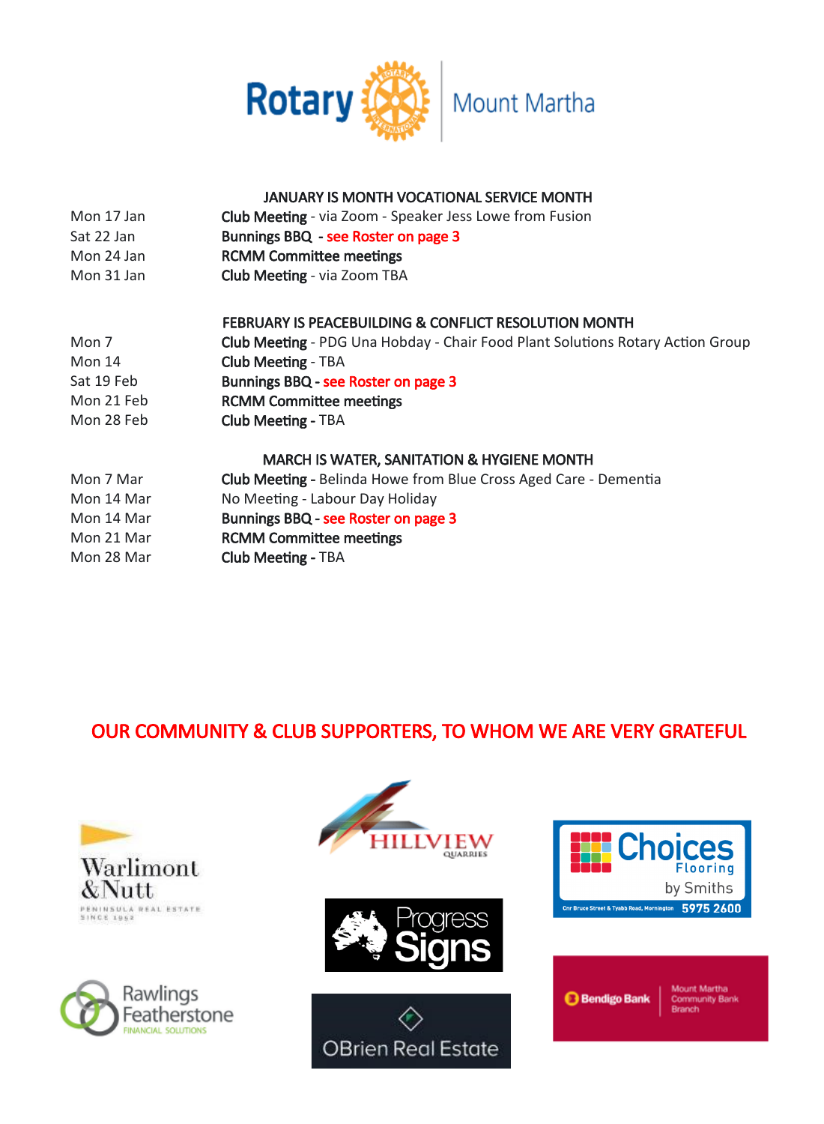

# JANUARY IS MONTH VOCATIONAL SERVICE MONTH

| Mon 17 Jan | <b>Club Meeting</b> - via Zoom - Speaker Jess Lowe from Fusion                        |
|------------|---------------------------------------------------------------------------------------|
| Sat 22 Jan | Bunnings BBQ - see Roster on page 3                                                   |
| Mon 24 Jan | <b>RCMM Committee meetings</b>                                                        |
| Mon 31 Jan | <b>Club Meeting - via Zoom TBA</b>                                                    |
|            | <b>FEBRUARY IS PEACEBUILDING &amp; CONFLICT RESOLUTION MONTH</b>                      |
| Mon 7      | <b>Club Meeting</b> - PDG Una Hobday - Chair Food Plant Solutions Rotary Action Group |
| Mon 14     | <b>Club Meeting - TBA</b>                                                             |
| Sat 19 Feb | Bunnings BBQ - see Roster on page 3                                                   |
| Mon 21 Feb | <b>RCMM Committee meetings</b>                                                        |
| Mon 28 Feb | <b>Club Meeting - TBA</b>                                                             |
|            | <b>MARCH IS WATER, SANITATION &amp; HYGIENE MONTH</b>                                 |
| Mon 7 Mar  | Club Meeting - Belinda Howe from Blue Cross Aged Care - Dementia                      |
| Mon 14 Mar | No Meeting - Labour Day Holiday                                                       |
| Mon 14 Mar | Bunnings BBQ - see Roster on page 3                                                   |
| Mon 21 Mar | <b>RCMM Committee meetings</b>                                                        |
| Mon 28 Mar | <b>Club Meeting - TBA</b>                                                             |

# OUR COMMUNITY & CLUB SUPPORTERS, TO WHOM WE ARE VERY GRATEFUL















**Mount Martha** Community Bank<br>Branch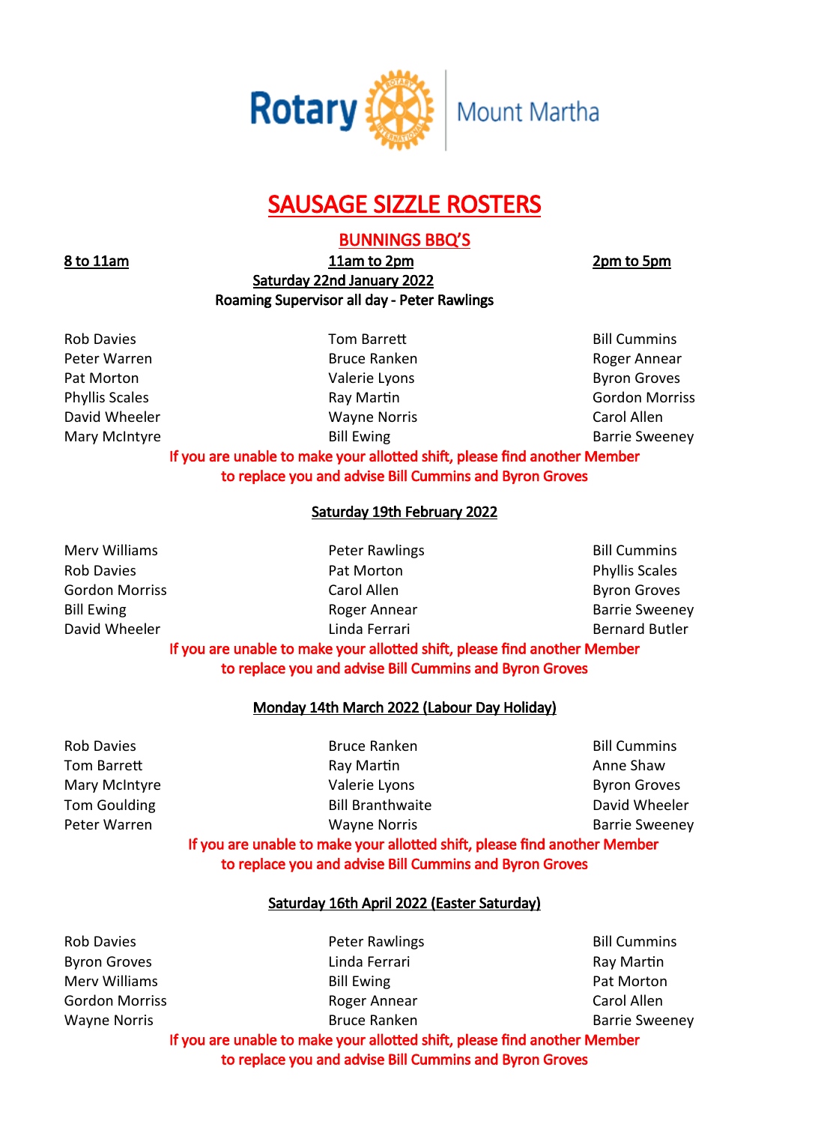

# SAUSAGE SIZZLE ROSTERS

# BUNNINGS BBQ'S

8 to 11am 11am to 2pm 2pm b 5pm Saturday 22nd January 2022 Roaming Supervisor all day - Peter Rawlings

Rob Davies **No. 2018** Tom Barrett **Communis** Bill Cummins

Peter Warren **Bruce Ranken** Bruce Ranken Roger Annear Pat Morton **Pat Morton Communist Communist Communist Communist Communist Communist Communist Communist Communist Communist Communist Communist Communist Communist Communist Communist Communist Communist Communist Communist** Phyllis Scales **Ray Martin** Ray Martin **Ray Holder Constructs** Gordon Morriss **Gordon Morriss** David Wheeler Wayne Norris Carol Allen Mary McIntyre **Bill Ewing Community** Bill Ewing **Barrie Sweeney** 

# If you are unable to make your allotted shift, please find another Member to replace you and advise Bill Cummins and Byron Groves

# Saturday 19th February 2022

Merv Williams **Network** Peter Rawlings **Bill Cummins Bill Cummins** Rob Davies **Pat Morton** Pat Morton **Pat Morton** Phyllis Scales Gordon Morriss **Carol Allen** Carol Allen **Carol Allen** Byron Groves Bill Ewing Roger Annear Barrie Sweeney David Wheeler **Linda Ferrari** Bernard Butler **Linda Ferrari** Bernard Butler

# If you are unable to make your allotted shift, please find another Member to replace you and advise Bill Cummins and Byron Groves

# Monday 14th March 2022 (Labour Day Holiday)

Rob Davies **Bruce Ranken** Bruce Ranken Bill Cummins Peter Warren **Wayne Norris** Christen Barrie Sweeney

Tom Barrett **Ray Martin Anne Shaw** Ray Martin **Ray Martin** Anne Shaw Mary McIntyre **Mary McIntyre Mary McIntyre Mary McIntyre Byron Groves** 

Tom Goulding The Richard Bill Branthwaite Communist Could Wheeler

If you are unable to make your allotted shift, please find another Member to replace you and advise Bill Cummins and Byron Groves

# Saturday 16th April 2022 (Easter Saturday)

Rob Davies **Rob Davies Peter Rawlings Bill Cummins** Byron Groves **Ray Martin** Linda Ferrari **Ray Martin** Ray Martin Merv Williams **Bill Ewing Pat Morton** Gordon Morriss **Roger Annear** Carol Allen Wayne Norris **Bruce Ranken** Bruce Ranken **Barrie Sweeney** 

If you are unable to make your allotted shift, please find another Member to replace you and advise Bill Cummins and Byron Groves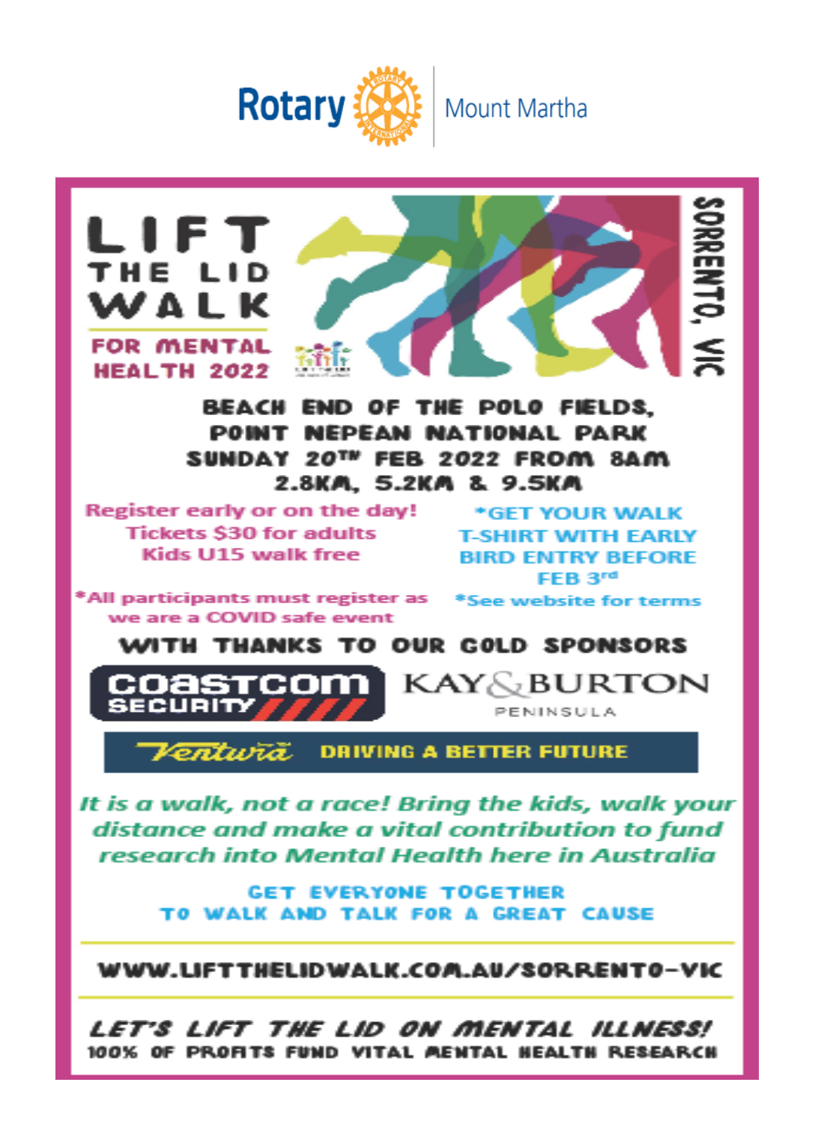



It is a walk, not a race! Bring the kids, walk your distance and make a vital contribution to fund research into Mental Health here in Australia

> **GET EVERYONE TOGETHER** TO WALK AND TALK FOR A GREAT CAUSE

WWW.LIFTTHELIDWALK.COM.AU/SORRENTO-VIC

Let's lift the Lid on mental illness! 100% OF PROFITS FUND VITAL MENTAL NEALTH RESEARCH